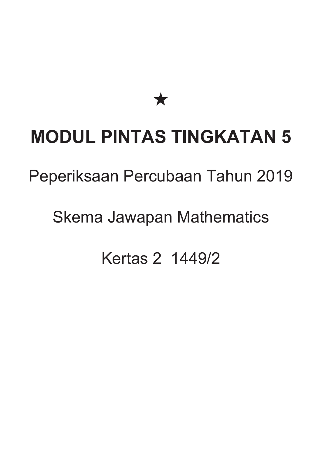★

# **MODUL PINTAS TINGKATAN 5**

#### Peperiksaan Percubaan Tahun 2019

### Skema Jawapan Mathematics

## Kertas 2 1449/2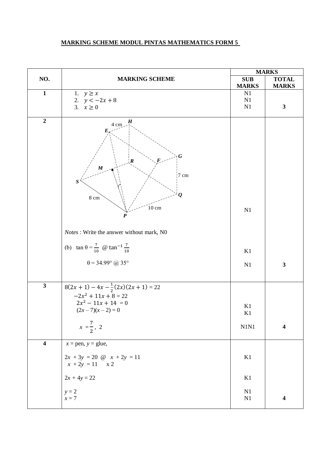#### **MARKING SCHEME MODUL PINTAS MATHEMATICS FORM 5**

|                         |                                                                                                                                                                                                                    | <b>MARKS</b>     |                         |
|-------------------------|--------------------------------------------------------------------------------------------------------------------------------------------------------------------------------------------------------------------|------------------|-------------------------|
| NO.                     | <b>MARKING SCHEME</b>                                                                                                                                                                                              | <b>SUB</b>       | <b>TOTAL</b>            |
|                         |                                                                                                                                                                                                                    | <b>MARKS</b>     | <b>MARKS</b>            |
| $\mathbf{1}$            | 1. $y \geq x$<br>2. $y < -2x + 8$                                                                                                                                                                                  | N1<br>N1         |                         |
|                         | 3. $x \ge 0$                                                                                                                                                                                                       | N1               | $\mathbf{3}$            |
|                         |                                                                                                                                                                                                                    |                  |                         |
| $\overline{2}$          | $4 \text{ cm}$<br>$E_{\kappa}$<br>$\boldsymbol{G}$<br>$\boldsymbol{R}$<br>F<br>$\pmb{M}$<br>$7\,\mathrm{cm}$<br>$\boldsymbol{S}$<br>$\boldsymbol{\varrho}$<br>$8\ {\rm cm}$<br>$10 \text{ cm}$<br>$\boldsymbol{P}$ | N1               |                         |
|                         | Notes : Write the answer without mark, N0                                                                                                                                                                          |                  |                         |
|                         | (b) $\tan \theta = \frac{7}{10}$ @ $\tan^{-1} \frac{7}{10}$                                                                                                                                                        | K1               |                         |
|                         | $\theta = 34.99^{\circ}$ @ 35°                                                                                                                                                                                     | N1               | $\overline{\mathbf{3}}$ |
| $\mathbf{3}$            | $8(2x + 1) - 4x - \frac{1}{2}(2x)(2x + 1) = 22$<br>$-2x^2 + 11x + 8 = 22$<br>$2x^2 - 11x + 14 = 0$<br>$(2x-7)(x-2)=0$<br>$x = \frac{7}{2}, 2$                                                                      | K1<br>K1<br>N1N1 | $\overline{\mathbf{4}}$ |
|                         |                                                                                                                                                                                                                    |                  |                         |
| $\overline{\mathbf{4}}$ | $x =$ pen, $y =$ glue,<br>$2x + 3y = 20$ @ $x + 2y = 11$<br>$x + 2y = 11$ x 2                                                                                                                                      | K1               |                         |
|                         | $2x + 4y = 22$                                                                                                                                                                                                     | K1               |                         |
|                         | $y = 2$<br>$x=7$                                                                                                                                                                                                   | N1<br>N1         | $\overline{\mathbf{4}}$ |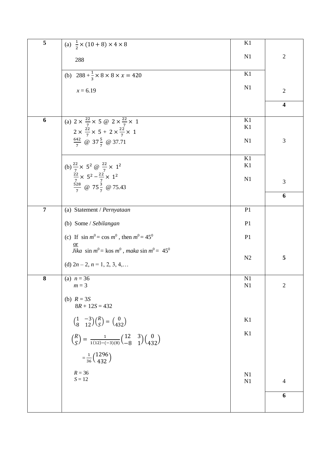| $\overline{\mathbf{5}}$ | (a) $\frac{1}{2} \times (10 + 8) \times 4 \times 8$                                                                                                             | K1             |                         |
|-------------------------|-----------------------------------------------------------------------------------------------------------------------------------------------------------------|----------------|-------------------------|
|                         | 288                                                                                                                                                             | N1             | $\sqrt{2}$              |
|                         | (b) $288 + \frac{1}{3} \times 8 \times 8 \times x = 420$                                                                                                        | K1             |                         |
|                         | $x = 6.19$                                                                                                                                                      | N1             | $\overline{2}$          |
|                         |                                                                                                                                                                 |                | $\overline{\mathbf{4}}$ |
| $\boldsymbol{6}$        | (a) $2 \times \frac{22}{7} \times 5 \text{ } \textcircled{2} \times \frac{22}{7} \times 1$<br>$2 \times \frac{22}{7} \times 5 + 2 \times \frac{22}{7} \times 1$ | K1<br>K1       |                         |
|                         | $\frac{642}{7}$ @ 37 $\frac{5}{7}$ @ 37.71                                                                                                                      | N1             | $\mathfrak{Z}$          |
|                         | (b) $\frac{22}{7} \times 5^2 \omega \frac{22}{7} \times 1^2$                                                                                                    | K1<br>K1       |                         |
|                         | $rac{22}{7} \times 5^2 - \frac{22}{7} \times 1^2$<br>$\frac{528}{7}$ @ 75 $\frac{3}{7}$ @ 75.43                                                                 | N <sub>1</sub> | $\mathfrak{Z}$          |
|                         |                                                                                                                                                                 |                | 6                       |
| $\overline{7}$          | (a) Statement / Pernyataan                                                                                                                                      | P <sub>1</sub> |                         |
|                         | (b) Some / Sebilangan                                                                                                                                           | P <sub>1</sub> |                         |
|                         | (c) If $\sin m^0 = \cos m^0$ , then $m^0 = 45^0$                                                                                                                | P <sub>1</sub> |                         |
|                         | Jika sin $m^0$ = kos $m^0$ , maka sin $m^0$ = 45 <sup>0</sup>                                                                                                   |                |                         |
|                         | (d) $2n-2$ , $n = 1, 2, 3, 4, \dots$                                                                                                                            | N <sub>2</sub> | 5                       |
| ${\bf 8}$               | (a) $n = 36$<br>$m = 3$                                                                                                                                         | N1<br>N1       | $\sqrt{2}$              |
|                         | (b) $R = 3S$<br>$8R + 12S = 432$                                                                                                                                |                |                         |
|                         | $\begin{pmatrix} 1 & -3 \\ 8 & 12 \end{pmatrix} \begin{pmatrix} R \\ S \end{pmatrix} = \begin{pmatrix} 0 \\ 432 \end{pmatrix}$                                  | K1             |                         |
|                         | $\binom{R}{S} = \frac{1}{1(12) - (-3)(8)} \binom{12}{-8} \frac{3}{1} \binom{0}{432}$                                                                            | K1             |                         |
|                         | $=\frac{1}{36}\binom{1296}{432}$                                                                                                                                |                |                         |
|                         | $R = 36$<br>$S = 12$                                                                                                                                            | N1<br>N1       | $\overline{4}$          |
|                         |                                                                                                                                                                 |                | 6                       |
|                         |                                                                                                                                                                 |                |                         |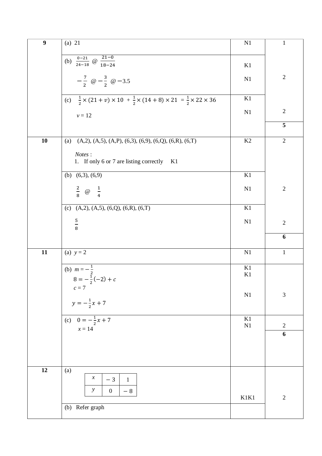| $\boldsymbol{9}$<br>$(a)$ 21                         |                                                                                                                       | N1       | $\mathbf 1$   |
|------------------------------------------------------|-----------------------------------------------------------------------------------------------------------------------|----------|---------------|
|                                                      |                                                                                                                       |          |               |
| (b) $\frac{0-21}{24-18}$ @ $\frac{21-0}{18-24}$      |                                                                                                                       |          |               |
|                                                      |                                                                                                                       | K1       |               |
|                                                      |                                                                                                                       | N1       | $\sqrt{2}$    |
| $-\frac{7}{2}$ @ $-\frac{3}{2}$ @ -3.5               |                                                                                                                       |          |               |
|                                                      |                                                                                                                       |          |               |
|                                                      | (c) $\frac{1}{2} \times (21 + v) \times 10 + \frac{1}{2} \times (14 + 8) \times 21 = \frac{1}{2} \times 22 \times 36$ | K1       |               |
|                                                      |                                                                                                                       |          | $\sqrt{2}$    |
| $\nu=12$                                             |                                                                                                                       | N1       |               |
|                                                      |                                                                                                                       |          | 5             |
|                                                      |                                                                                                                       |          |               |
| 10<br>(a)                                            | $(A,2), (A,5), (A,P), (6,3), (6,9), (6,Q), (6,R), (6,T)$                                                              | K2       | $\sqrt{2}$    |
|                                                      |                                                                                                                       |          |               |
| Notes:                                               |                                                                                                                       |          |               |
|                                                      | 1. If only 6 or 7 are listing correctly K1                                                                            |          |               |
| (b) $(6,3)$ , $(6,9)$                                |                                                                                                                       | K1       |               |
|                                                      |                                                                                                                       |          |               |
|                                                      |                                                                                                                       | N1       | $\sqrt{2}$    |
| $rac{2}{8}$ @ $rac{1}{4}$                            |                                                                                                                       |          |               |
|                                                      |                                                                                                                       |          |               |
| (c) $(A,2), (A,5), (6,Q), (6,R), (6,T)$              |                                                                                                                       | K1       |               |
|                                                      |                                                                                                                       | N1       | $\sqrt{2}$    |
| $\frac{5}{8}$                                        |                                                                                                                       |          |               |
|                                                      |                                                                                                                       |          | 6             |
|                                                      |                                                                                                                       |          |               |
| 11<br>(a) $y = 2$                                    |                                                                                                                       | N1       | $\mathbf{1}$  |
|                                                      |                                                                                                                       |          |               |
|                                                      |                                                                                                                       | K1       |               |
| (b) $m = -\frac{1}{2}$<br>$8 = -\frac{1}{2}(-2) + c$ |                                                                                                                       | K1       |               |
|                                                      |                                                                                                                       |          |               |
| $c=7$                                                |                                                                                                                       | N1       | $\mathfrak 3$ |
| $y = -\frac{1}{2}x + 7$                              |                                                                                                                       |          |               |
|                                                      |                                                                                                                       |          |               |
| (c) $0 = -\frac{1}{2}x + 7$                          |                                                                                                                       | $\rm K1$ |               |
|                                                      |                                                                                                                       | N1       | $\sqrt{2}$    |
| $x = 14$                                             |                                                                                                                       |          | 6             |
|                                                      |                                                                                                                       |          |               |
|                                                      |                                                                                                                       |          |               |
|                                                      |                                                                                                                       |          |               |
|                                                      |                                                                                                                       |          |               |
| $\overline{12}$<br>(a)                               |                                                                                                                       |          |               |
| $\boldsymbol{\mathcal{X}}$                           | $-3$<br>$\mathbf{1}$                                                                                                  |          |               |
| $\mathcal{Y}$                                        | $\overline{0}$<br>$-8$                                                                                                |          |               |
|                                                      |                                                                                                                       | K1K1     | $\sqrt{2}$    |
| (b) Refer graph                                      |                                                                                                                       |          |               |
|                                                      |                                                                                                                       |          |               |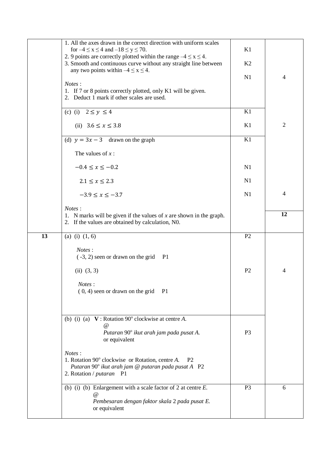|    | 1. All the axes drawn in the correct direction with uniform scales<br>for $-4 \le x \le 4$ and $-18 \le y \le 70$ .                                                                   | K1             |                |
|----|---------------------------------------------------------------------------------------------------------------------------------------------------------------------------------------|----------------|----------------|
|    | 2. 9 points are correctly plotted within the range $-4 \le x \le 4$ .<br>3. Smooth and continuous curve without any straight line between<br>any two points within $-4 \le x \le 4$ . | K <sub>2</sub> |                |
|    | Notes:                                                                                                                                                                                | N1             | $\overline{4}$ |
|    | 1. If 7 or 8 points correctly plotted, only K1 will be given.<br>2. Deduct 1 mark if other scales are used.                                                                           |                |                |
|    | (c) (i) $2 \le y \le 4$                                                                                                                                                               | K1             |                |
|    | (ii) $3.6 \le x \le 3.8$                                                                                                                                                              | K1             | $\overline{2}$ |
|    | (d) $y = 3x - 3$ drawn on the graph                                                                                                                                                   | K1             |                |
|    | The values of $x$ :                                                                                                                                                                   |                |                |
|    | $-0.4 \le x \le -0.2$                                                                                                                                                                 | N1             |                |
|    | $2.1 \le x \le 2.3$                                                                                                                                                                   | N1             |                |
|    | $-3.9 \le x \le -3.7$                                                                                                                                                                 | N1             | 4              |
|    | Notes:<br>1. N marks will be given if the values of $x$ are shown in the graph.<br>2. If the values are obtained by calculation, N0.                                                  |                | 12             |
| 13 | (a) (i) $(1, 6)$                                                                                                                                                                      | P <sub>2</sub> |                |
|    | Notes:<br>$(-3, 2)$ seen or drawn on the grid<br>P <sub>1</sub>                                                                                                                       |                |                |
|    | (ii) (3, 3)                                                                                                                                                                           | P <sub>2</sub> | 4              |
|    | Notes:<br>$(0, 4)$ seen or drawn on the grid<br>- P1                                                                                                                                  |                |                |
|    | (b) (i) (a) $V:$ Rotation 90 $^{\circ}$ clockwise at centre A.<br>@<br>Putaran 90° ikut arah jam pada pusat A.<br>or equivalent                                                       | P <sub>3</sub> |                |
|    | Notes:<br>1. Rotation 90° clockwise or Rotation, centre A.<br><b>P2</b><br>Putaran 90° ikut arah jam @ putaran pada pusat A P2<br>2. Rotation / putaran P1                            |                |                |
|    | (b) (i) (b) Enlargement with a scale factor of 2 at centre $E$ .                                                                                                                      | P <sub>3</sub> | 6              |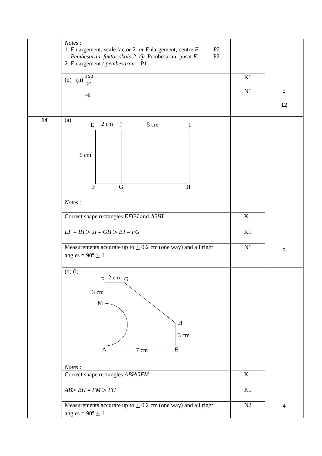|    | Notes:<br>1. Enlargement, scale factor 2 or Enlargement, centre E.<br>P <sub>2</sub><br>Pembesaran, faktor skala 2 @ Pembesaran, pusat E.<br>P2 |          |                |
|----|-------------------------------------------------------------------------------------------------------------------------------------------------|----------|----------------|
|    | 2. Enlargement / pembesaran P1<br>(b) (ii) $\frac{160}{2^2}$                                                                                    | K1       |                |
|    | 40                                                                                                                                              | N1       | $\overline{2}$ |
|    |                                                                                                                                                 |          | 12             |
| 14 | (a)<br>$2 \text{ cm}$ J<br>${\bf E}$<br>5 cm<br>$\mathbf I$<br>6 cm<br>$\overline{F}$<br>G<br>H                                                 |          |                |
|    | Notes:                                                                                                                                          |          |                |
|    | Correct shape rectangles EFGJ and JGHI                                                                                                          | K1       |                |
|    | $EF = IH > JI = GH > EJ = FG$                                                                                                                   | K1       |                |
|    | Measurements accurate up to $\pm$ 0.2 cm (one way) and all right<br>angles = $90^\circ \pm 1$                                                   | N1       | $\mathfrak{Z}$ |
|    | $(b)$ $(i)$<br>$F^2$ cm $G$<br>3 cm<br>$\mathbf M$<br>$\, {\rm H}$<br>3 cm<br>7 cm<br>$\bf{B}$<br>A                                             |          |                |
|    | Notes:<br>Correct shape rectangles ABHGFM                                                                                                       | K1       |                |
|    | $AB > BH = FM > FG$                                                                                                                             | $\rm K1$ |                |
|    | Measurements accurate up to $\pm$ 0.2 cm (one way) and all right<br>angles = $90^{\circ} \pm 1$                                                 | N2       | $\overline{4}$ |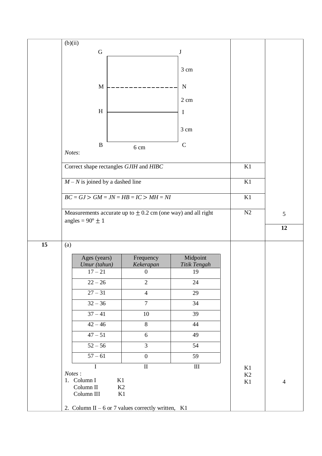|    | (b)(ii)                                                          |                               |                    |          |                |
|----|------------------------------------------------------------------|-------------------------------|--------------------|----------|----------------|
|    | ${\bf G}$                                                        |                               | J                  |          |                |
|    |                                                                  |                               |                    |          |                |
|    |                                                                  |                               | $3 \text{ cm}$     |          |                |
|    |                                                                  |                               |                    |          |                |
|    | $\mathbf M$                                                      |                               | N                  |          |                |
|    |                                                                  |                               | 2 cm               |          |                |
|    |                                                                  |                               |                    |          |                |
|    | $\, {\rm H}$                                                     |                               | $\mathbf I$        |          |                |
|    |                                                                  |                               |                    |          |                |
|    |                                                                  |                               | 3 cm               |          |                |
|    | $\, {\bf B}$                                                     |                               | $\mathcal{C}$      |          |                |
|    | Notes:                                                           | 6 cm                          |                    |          |                |
|    |                                                                  |                               |                    |          |                |
|    | Correct shape rectangles GJIH and HIBC                           |                               |                    | K1       |                |
|    |                                                                  |                               |                    |          |                |
|    | $M - N$ is joined by a dashed line                               |                               |                    | K1       |                |
|    | $BC = GJ > GM = JN = HB = IC > MH = NI$                          |                               |                    | K1       |                |
|    |                                                                  |                               |                    |          |                |
|    | Measurements accurate up to $\pm$ 0.2 cm (one way) and all right |                               |                    | N2       | 5              |
|    | angles = $90^\circ \pm 1$                                        |                               |                    |          |                |
|    |                                                                  |                               |                    |          | 12             |
| 15 | (a)                                                              |                               |                    |          |                |
|    |                                                                  |                               |                    |          |                |
|    | Ages (years)                                                     | Frequency                     | Midpoint           |          |                |
|    | Umur (tahun)<br>$17 - 21$                                        | Kekerapan<br>$\boldsymbol{0}$ | Titik Tengah<br>19 |          |                |
|    |                                                                  |                               |                    |          |                |
|    | $22 - 26$                                                        | $\overline{2}$                | 24                 |          |                |
|    | $27 - 31$                                                        | $\overline{4}$                | 29                 |          |                |
|    | $32 - 36$                                                        | $\overline{7}$                | $\overline{34}$    |          |                |
|    | $37 - 41$                                                        | $10\,$                        | $\overline{39}$    |          |                |
|    | $42 - 46$                                                        | $8\,$                         | 44                 |          |                |
|    | $47 - 51$                                                        | 6                             | 49                 |          |                |
|    |                                                                  |                               |                    |          |                |
|    | $52 - 56$                                                        | $\overline{3}$                | 54                 |          |                |
|    | $57 - 61$                                                        | $\boldsymbol{0}$              | 59                 |          |                |
|    | I                                                                | $\rm II$                      | $\rm III$          | K1       |                |
|    | Notes:<br>1. Column I<br>K1                                      |                               |                    | K2       |                |
|    | Column II<br>K2                                                  |                               |                    | $\rm K1$ | $\overline{4}$ |
|    |                                                                  | K1                            |                    |          |                |
|    | Column III                                                       |                               |                    |          |                |
|    | 2. Column II – 6 or 7 values correctly written, K1               |                               |                    |          |                |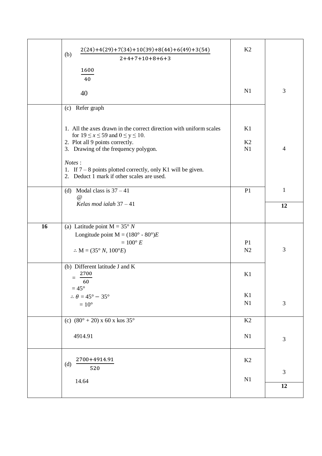|    | $2(24)+4(29)+7(34)+10(39)+8(44)+6(49)+3(54)$<br>(b)<br>$2+4+7+10+8+6+3$                                                                                                                       | K2                               |                |
|----|-----------------------------------------------------------------------------------------------------------------------------------------------------------------------------------------------|----------------------------------|----------------|
|    | 1600<br>40<br>40                                                                                                                                                                              | N1                               | 3              |
|    | (c) Refer graph                                                                                                                                                                               |                                  |                |
|    | 1. All the axes drawn in the correct direction with uniform scales<br>for $19 \le x \le 59$ and $0 \le y \le 10$ .<br>2. Plot all 9 points correctly.<br>3. Drawing of the frequency polygon. | K1<br>K2<br>N1                   | $\overline{4}$ |
|    | Notes:<br>1. If $7 - 8$ points plotted correctly, only K1 will be given.<br>2. Deduct 1 mark if other scales are used.                                                                        |                                  |                |
|    | (d) Modal class is $37 - 41$<br>$\omega$                                                                                                                                                      | P <sub>1</sub>                   | $\mathbf{1}$   |
|    | Kelas mod ialah $37 - 41$                                                                                                                                                                     |                                  | 12             |
| 16 | (a) Latitude point $M = 35^{\circ} N$<br>Longitude point $M = (180^\circ - 80^\circ)E$<br>$=100^{\circ} E$<br>$\therefore M = (35^{\circ} N, 100^{\circ} E)$                                  | P <sub>1</sub><br>N <sub>2</sub> | 3              |
|    | (b) Different latitude J and K<br>2700<br>$=$<br>60                                                                                                                                           | K1                               |                |
|    | $=45^{\circ}$<br>$\therefore \theta = 45^{\circ} - 35^{\circ}$<br>$=10^{\circ}$                                                                                                               | K1<br>N1                         | $\mathfrak{Z}$ |
|    | (c) $(80^{\circ} + 20)$ x 60 x kos 35°                                                                                                                                                        | K2                               |                |
|    | 4914.91                                                                                                                                                                                       | N1                               | $\mathfrak{Z}$ |
|    | 2700+4914.91<br>(d)<br>520                                                                                                                                                                    | K2                               | 3              |
|    | 14.64                                                                                                                                                                                         | N1                               | 12             |
|    |                                                                                                                                                                                               |                                  |                |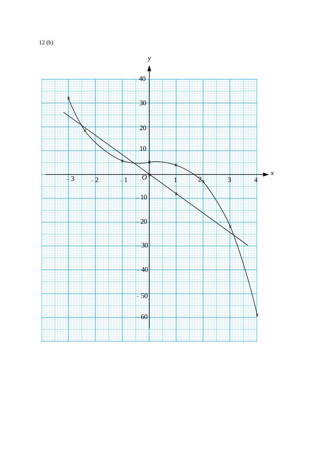12 (b)